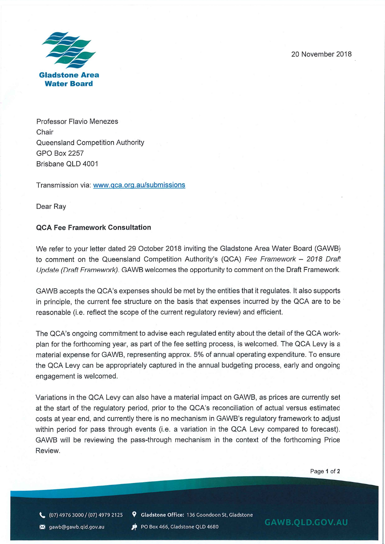20 November 2018



Professor Flavio Menezes **Chair** Queensland Competition Authority GPO Box 2257 Brisbane OLD 4001

Transmission via: www.qca.ora.au/submissions

Dear Ray

## **QCA Fee Framework Consultation**

We refer to your letter dated 29 October 2018 inviting the Gladstone Area Water Board (GAWB) to comment on the Queensland Competition Authority's (QCA) *Fee Framework - 2018 Draft Update (Draft Framework).* GAWB welcomes the opportunity to comment on the Draft Framework.

GAWB accepts the QCA's expenses should be met by the entities that it regulates. It also supports in principle, the current fee structure on the basis that expenses incurred by the QCA are to be reasonable (i.e. reflect the scope of the current regulatory review) and efficient.

The QCA's ongoing commitment to advise each regulated entity about the detail of the QCA workplan for the forthcoming year, as part of the fee setting process, is welcomed. The QCA Levy is a material expense for GAWB, representing approx. 5% of annual operating expenditure. To ensure the QCA Levy can be appropriately captured in the annual budgeting process, early and ongoing engagement is welcomed.

Variations in the QCA Levy can also have a material impact on GAWB, as prices are currently set at the start of the regulatory period, prior to the QCA's reconciliation of actual versus estimated costs at year end, and currently there is no mechanism in GAWB's regulatory framework to adjust within period for pass through events (i.e. a variation in the QCA Levy compared to forecast). GAWB will be reviewing the pass-through mechanism in the context of the forthcoming Price Review.

Page 1 of 2

(07)4976 3000/(07)4979 2125 **9 Gladstone Office:** 136 Goondoon St, Gladstone

**X** gawb@gawb.qld.gov.au **state of the Box 466**, Gladstone QLD 4680 **GAWB.QLD.GOV.AU**